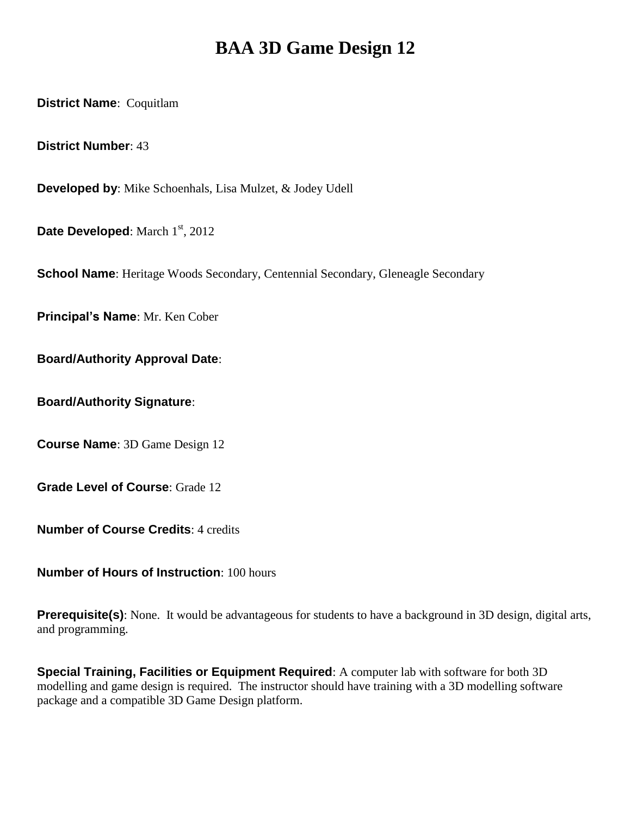# **BAA 3D Game Design 12**

**District Name**: Coquitlam

**District Number**: 43

**Developed by**: Mike Schoenhals, Lisa Mulzet, & Jodey Udell

**Date Developed:** March 1<sup>st</sup>, 2012

**School Name**: Heritage Woods Secondary, Centennial Secondary, Gleneagle Secondary

**Principal's Name**: Mr. Ken Cober

**Board/Authority Approval Date**:

**Board/Authority Signature**:

**Course Name**: 3D Game Design 12

**Grade Level of Course**: Grade 12

**Number of Course Credits**: 4 credits

**Number of Hours of Instruction**: 100 hours

**Prerequisite(s)**: None. It would be advantageous for students to have a background in 3D design, digital arts, and programming.

**Special Training, Facilities or Equipment Required**: A computer lab with software for both 3D modelling and game design is required. The instructor should have training with a 3D modelling software package and a compatible 3D Game Design platform.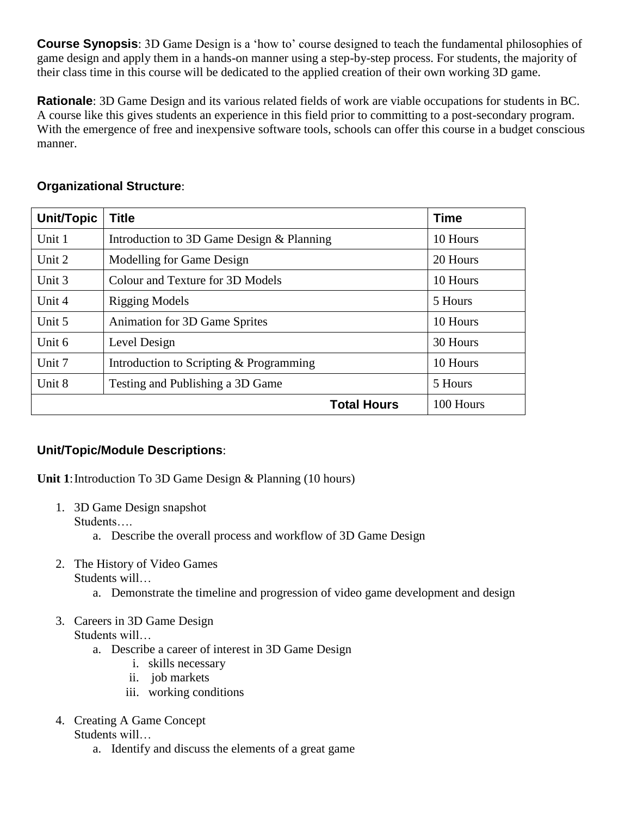**Course Synopsis**: 3D Game Design is a 'how to' course designed to teach the fundamental philosophies of game design and apply them in a hands-on manner using a step-by-step process. For students, the majority of their class time in this course will be dedicated to the applied creation of their own working 3D game.

**Rationale**: 3D Game Design and its various related fields of work are viable occupations for students in BC. A course like this gives students an experience in this field prior to committing to a post-secondary program. With the emergence of free and inexpensive software tools, schools can offer this course in a budget conscious manner.

| Unit/Topic | <b>Title</b>                              | <b>Time</b> |
|------------|-------------------------------------------|-------------|
| Unit 1     | Introduction to 3D Game Design & Planning | 10 Hours    |
| Unit 2     | Modelling for Game Design                 | 20 Hours    |
| Unit 3     | Colour and Texture for 3D Models          | 10 Hours    |
| Unit 4     | <b>Rigging Models</b>                     | 5 Hours     |
| Unit 5     | <b>Animation for 3D Game Sprites</b>      | 10 Hours    |
| Unit 6     | Level Design                              | 30 Hours    |
| Unit 7     | Introduction to Scripting & Programming   | 10 Hours    |
| Unit 8     | Testing and Publishing a 3D Game          | 5 Hours     |
|            | 100 Hours                                 |             |

## **Unit/Topic/Module Descriptions**:

**Unit 1**: Introduction To 3D Game Design & Planning (10 hours)

- 1. 3D Game Design snapshot Students….
	- a. Describe the overall process and workflow of 3D Game Design
- 2. The History of Video Games Students will…
	- a. Demonstrate the timeline and progression of video game development and design
- 3. Careers in 3D Game Design Students will…
	- a. Describe a career of interest in 3D Game Design
		- i. skills necessary
		- ii. job markets
		- iii. working conditions
- 4. Creating A Game Concept Students will…
	- a. Identify and discuss the elements of a great game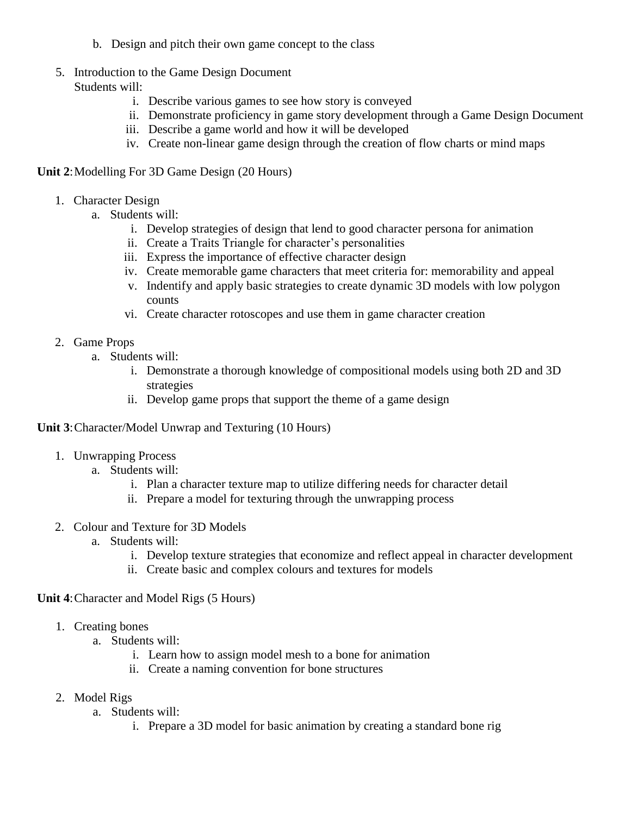- b. Design and pitch their own game concept to the class
- 5. Introduction to the Game Design Document Students will:
	- i. Describe various games to see how story is conveyed
	- ii. Demonstrate proficiency in game story development through a Game Design Document
	- iii. Describe a game world and how it will be developed
	- iv. Create non-linear game design through the creation of flow charts or mind maps

#### **Unit 2:** Modelling For 3D Game Design (20 Hours)

- 1. Character Design
	- a. Students will:
		- i. Develop strategies of design that lend to good character persona for animation
		- ii. Create a Traits Triangle for character's personalities
		- iii. Express the importance of effective character design
		- iv. Create memorable game characters that meet criteria for: memorability and appeal
		- v. Indentify and apply basic strategies to create dynamic 3D models with low polygon counts
		- vi. Create character rotoscopes and use them in game character creation

#### 2. Game Props

- a. Students will:
	- i. Demonstrate a thorough knowledge of compositional models using both 2D and 3D strategies
	- ii. Develop game props that support the theme of a game design

#### **Unit 3**:Character/Model Unwrap and Texturing (10 Hours)

- 1. Unwrapping Process
	- a. Students will:
		- i. Plan a character texture map to utilize differing needs for character detail
		- ii. Prepare a model for texturing through the unwrapping process
- 2. Colour and Texture for 3D Models
	- a. Students will:
		- i. Develop texture strategies that economize and reflect appeal in character development
		- ii. Create basic and complex colours and textures for models

#### **Unit 4**:Character and Model Rigs (5 Hours)

- 1. Creating bones
	- a. Students will:
		- i. Learn how to assign model mesh to a bone for animation
		- ii. Create a naming convention for bone structures
- 2. Model Rigs
	- a. Students will:
		- i. Prepare a 3D model for basic animation by creating a standard bone rig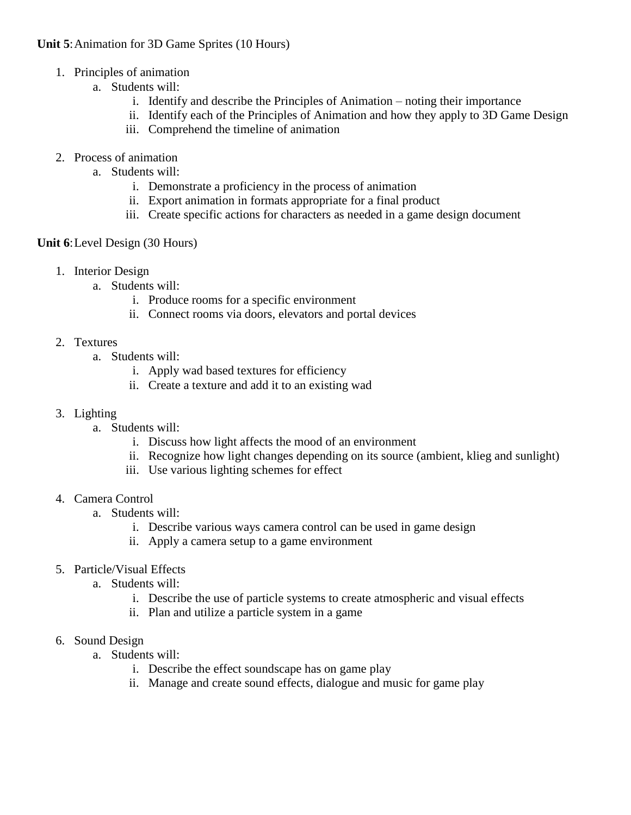#### **Unit 5**:Animation for 3D Game Sprites (10 Hours)

- 1. Principles of animation
	- a. Students will:
		- i. Identify and describe the Principles of Animation noting their importance
		- ii. Identify each of the Principles of Animation and how they apply to 3D Game Design
		- iii. Comprehend the timeline of animation
- 2. Process of animation
	- a. Students will:
		- i. Demonstrate a proficiency in the process of animation
		- ii. Export animation in formats appropriate for a final product
		- iii. Create specific actions for characters as needed in a game design document

#### **Unit 6**:Level Design (30 Hours)

- 1. Interior Design
	- a. Students will:
		- i. Produce rooms for a specific environment
		- ii. Connect rooms via doors, elevators and portal devices
- 2. Textures
	- a. Students will:
		- i. Apply wad based textures for efficiency
		- ii. Create a texture and add it to an existing wad
- 3. Lighting
	- a. Students will:
		- i. Discuss how light affects the mood of an environment
		- ii. Recognize how light changes depending on its source (ambient, klieg and sunlight)
		- iii. Use various lighting schemes for effect
- 4. Camera Control
	- a. Students will:
		- i. Describe various ways camera control can be used in game design
		- ii. Apply a camera setup to a game environment
- 5. Particle/Visual Effects
	- a. Students will:
		- i. Describe the use of particle systems to create atmospheric and visual effects
		- ii. Plan and utilize a particle system in a game
- 6. Sound Design
	- a. Students will:
		- i. Describe the effect soundscape has on game play
		- ii. Manage and create sound effects, dialogue and music for game play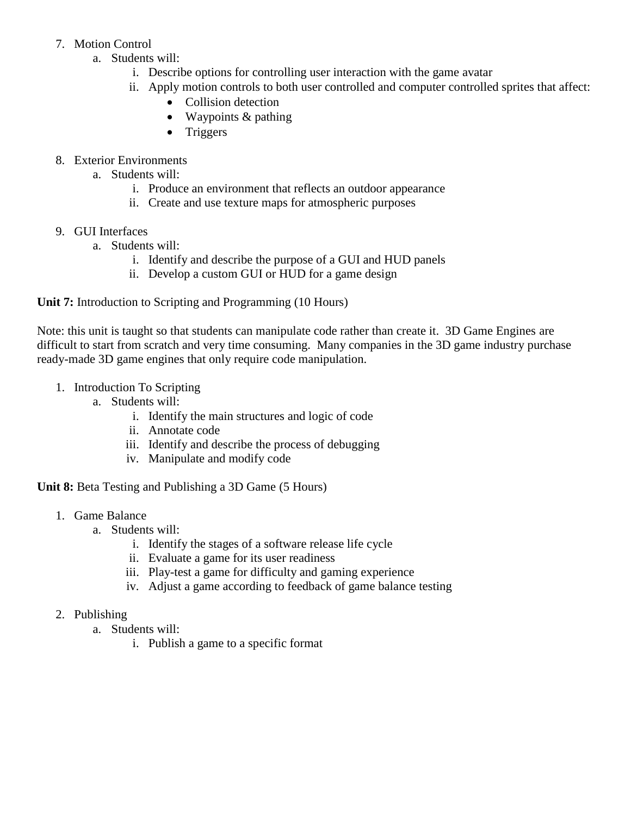### 7. Motion Control

- a. Students will:
	- i. Describe options for controlling user interaction with the game avatar
	- ii. Apply motion controls to both user controlled and computer controlled sprites that affect:
		- Collision detection
		- Waypoints & pathing
		- Triggers
- 8. Exterior Environments
	- a. Students will:
		- i. Produce an environment that reflects an outdoor appearance
		- ii. Create and use texture maps for atmospheric purposes
- 9. GUI Interfaces
	- a. Students will:
		- i. Identify and describe the purpose of a GUI and HUD panels
		- ii. Develop a custom GUI or HUD for a game design

**Unit 7:** Introduction to Scripting and Programming (10 Hours)

Note: this unit is taught so that students can manipulate code rather than create it. 3D Game Engines are difficult to start from scratch and very time consuming. Many companies in the 3D game industry purchase ready-made 3D game engines that only require code manipulation.

- 1. Introduction To Scripting
	- a. Students will:
		- i. Identify the main structures and logic of code
		- ii. Annotate code
		- iii. Identify and describe the process of debugging
		- iv. Manipulate and modify code

**Unit 8:** Beta Testing and Publishing a 3D Game (5 Hours)

- 1. Game Balance
	- a. Students will:
		- i. Identify the stages of a software release life cycle
		- ii. Evaluate a game for its user readiness
		- iii. Play-test a game for difficulty and gaming experience
		- iv. Adjust a game according to feedback of game balance testing
- 2. Publishing
	- a. Students will:
		- i. Publish a game to a specific format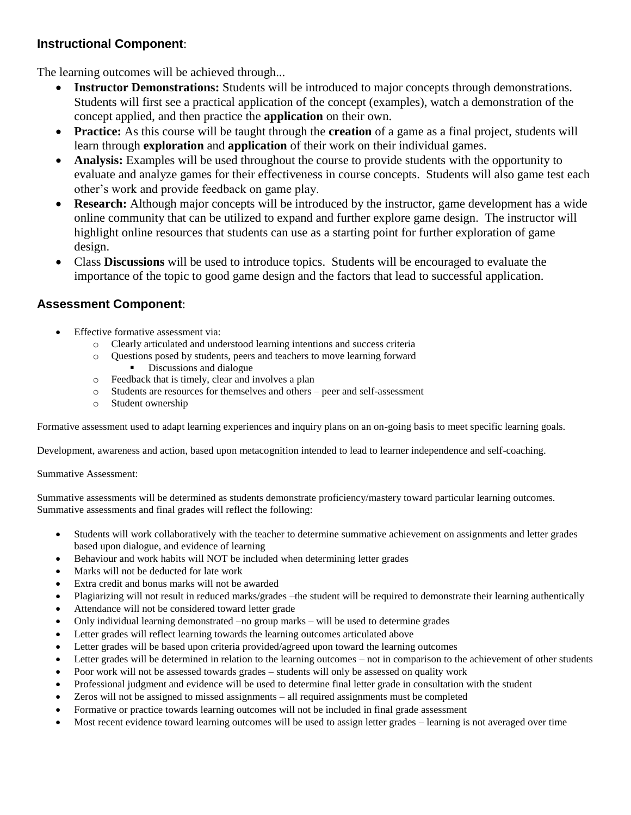## **Instructional Component**:

The learning outcomes will be achieved through...

- **Instructor Demonstrations:** Students will be introduced to major concepts through demonstrations. Students will first see a practical application of the concept (examples), watch a demonstration of the concept applied, and then practice the **application** on their own.
- **Practice:** As this course will be taught through the **creation** of a game as a final project, students will learn through **exploration** and **application** of their work on their individual games.
- **Analysis:** Examples will be used throughout the course to provide students with the opportunity to evaluate and analyze games for their effectiveness in course concepts. Students will also game test each other's work and provide feedback on game play.
- **Research:** Although major concepts will be introduced by the instructor, game development has a wide online community that can be utilized to expand and further explore game design. The instructor will highlight online resources that students can use as a starting point for further exploration of game design.
- Class **Discussions** will be used to introduce topics. Students will be encouraged to evaluate the importance of the topic to good game design and the factors that lead to successful application.

## **Assessment Component**:

- Effective formative assessment via:
	- o Clearly articulated and understood learning intentions and success criteria
	- o Questions posed by students, peers and teachers to move learning forward Discussions and dialogue
	- o Feedback that is timely, clear and involves a plan
	- o Students are resources for themselves and others peer and self-assessment
	- o Student ownership

Formative assessment used to adapt learning experiences and inquiry plans on an on-going basis to meet specific learning goals.

Development, awareness and action, based upon metacognition intended to lead to learner independence and self-coaching.

Summative Assessment:

Summative assessments will be determined as students demonstrate proficiency/mastery toward particular learning outcomes. Summative assessments and final grades will reflect the following:

- Students will work collaboratively with the teacher to determine summative achievement on assignments and letter grades based upon dialogue, and evidence of learning
- Behaviour and work habits will NOT be included when determining letter grades
- Marks will not be deducted for late work
- Extra credit and bonus marks will not be awarded
- Plagiarizing will not result in reduced marks/grades –the student will be required to demonstrate their learning authentically
- Attendance will not be considered toward letter grade
- Only individual learning demonstrated –no group marks will be used to determine grades
- Letter grades will reflect learning towards the learning outcomes articulated above
- Letter grades will be based upon criteria provided/agreed upon toward the learning outcomes
- Letter grades will be determined in relation to the learning outcomes not in comparison to the achievement of other students
- Poor work will not be assessed towards grades students will only be assessed on quality work
- Professional judgment and evidence will be used to determine final letter grade in consultation with the student
- Zeros will not be assigned to missed assignments all required assignments must be completed
- Formative or practice towards learning outcomes will not be included in final grade assessment
- Most recent evidence toward learning outcomes will be used to assign letter grades learning is not averaged over time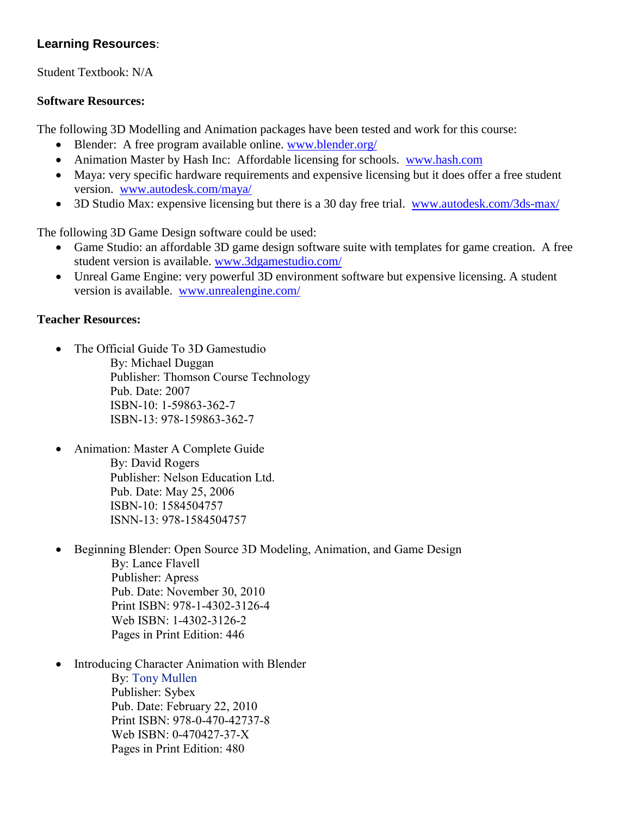# **Learning Resources**:

Student Textbook: N/A

## **Software Resources:**

The following 3D Modelling and Animation packages have been tested and work for this course:

- Blender: A free program available online. [www.blender.org/](http://www.blender.org/)
- Animation Master by Hash Inc: Affordable licensing for schools. [www.hash.com](http://www.hash.com/)
- Maya: very specific hardware requirements and expensive licensing but it does offer a free student version. [www.autodesk.com/maya/](http://www.autodesk.com/maya/)
- 3D Studio Max: expensive licensing but there is a 30 day free trial. [www.autodesk.com/3ds-max/](http://www.autodesk.com/3ds-max/)

The following 3D Game Design software could be used:

- Game Studio: an affordable 3D game design software suite with templates for game creation. A free student version is available. [www.3dgamestudio.com/](http://www.3dgamestudio.com/)
- Unreal Game Engine: very powerful 3D environment software but expensive licensing. A student version is available. [www.unrealengine.com/](http://www.unrealengine.com/)

## **Teacher Resources:**

- The Official Guide To 3D Gamestudio By: Michael Duggan Publisher: Thomson Course Technology Pub. Date: 2007 ISBN-10: 1-59863-362-7 ISBN-13: 978-159863-362-7
- Animation: Master A Complete Guide By: David Rogers Publisher: Nelson Education Ltd. Pub. Date: May 25, 2006 ISBN-10: 1584504757 ISNN-13: 978-1584504757
- Beginning Blender: Open Source 3D Modeling, Animation, and Game Design By: Lance Flavell Publisher: Apress Pub. Date: November 30, 2010 Print ISBN: 978-1-4302-3126-4 Web ISBN: 1-4302-3126-2 Pages in Print Edition: 446
- Introducing Character Animation with Blender By: [Tony Mullen](http://www.wiley.com/WileyCDA/WileyTitle/productCd-047042737X,descCd-authorInfo.html) Publisher: Sybex Pub. Date: February 22, 2010 Print ISBN: 978-0-470-42737-8 Web ISBN: 0-470427-37-X Pages in Print Edition: 480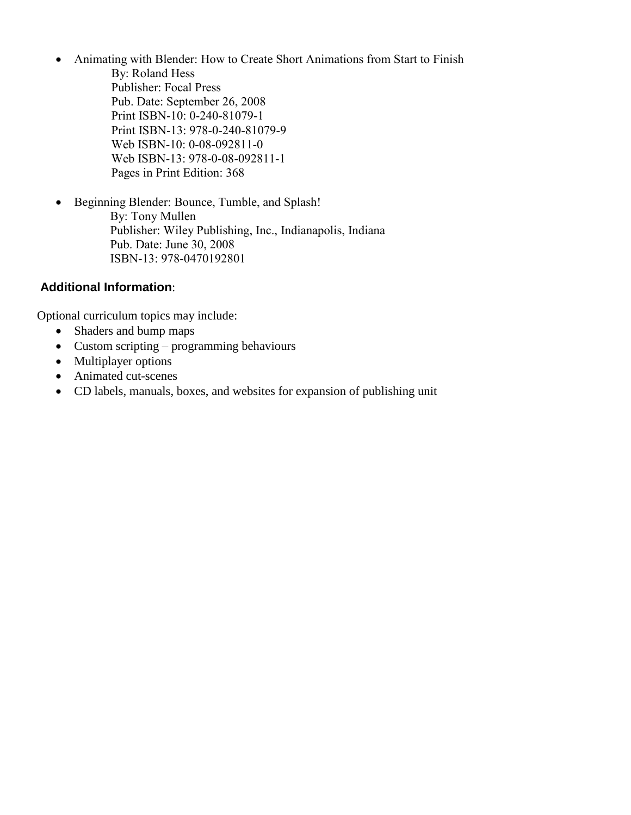Animating with Blender: How to Create Short Animations from Start to Finish

By: Roland Hess Publisher: Focal Press Pub. Date: September 26, 2008 Print ISBN-10: 0-240-81079-1 Print ISBN-13: 978-0-240-81079-9 Web ISBN-10: 0-08-092811-0 Web ISBN-13: 978-0-08-092811-1 Pages in Print Edition: 368

 Beginning Blender: Bounce, Tumble, and Splash! By: Tony Mullen Publisher: Wiley Publishing, Inc., Indianapolis, Indiana Pub. Date: June 30, 2008 ISBN-13: 978-0470192801

# **Additional Information**:

Optional curriculum topics may include:

- Shaders and bump maps
- Custom scripting programming behaviours
- Multiplayer options
- Animated cut-scenes
- CD labels, manuals, boxes, and websites for expansion of publishing unit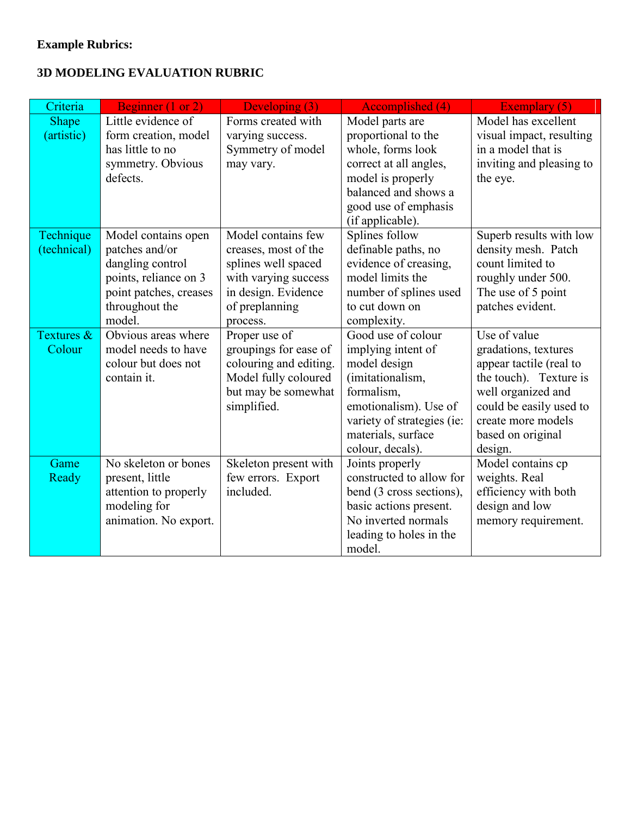# **Example Rubrics:**

# **3D MODELING EVALUATION RUBRIC**

| Criteria     | Beginner (1 or 2)      | Developing (3)         | Accomplished (4)                    | Exemplary (5)                |
|--------------|------------------------|------------------------|-------------------------------------|------------------------------|
| <b>Shape</b> | Little evidence of     | Forms created with     | Model parts are                     | Model has excellent          |
| (artistic)   | form creation, model   | varying success.       | proportional to the                 | visual impact, resulting     |
|              | has little to no       | Symmetry of model      | whole, forms look                   | in a model that is           |
|              | symmetry. Obvious      | may vary.              | correct at all angles,              | inviting and pleasing to     |
|              | defects.               |                        | model is properly                   | the eye.                     |
|              |                        |                        | balanced and shows a                |                              |
|              |                        |                        | good use of emphasis                |                              |
| Technique    | Model contains open    | Model contains few     | (if applicable).<br>Splines follow  | Superb results with low      |
| (technical)  | patches and/or         | creases, most of the   | definable paths, no                 | density mesh. Patch          |
|              | dangling control       | splines well spaced    | evidence of creasing,               | count limited to             |
|              | points, reliance on 3  | with varying success   | model limits the                    | roughly under 500.           |
|              | point patches, creases | in design. Evidence    | number of splines used              | The use of 5 point           |
|              | throughout the         | of preplanning         | to cut down on                      | patches evident.             |
|              | model.                 | process.               | complexity.                         |                              |
| Textures &   | Obvious areas where    | Proper use of          | Good use of colour                  | Use of value                 |
| Colour       | model needs to have    | groupings for ease of  | implying intent of                  | gradations, textures         |
|              | colour but does not    | colouring and editing. | model design                        | appear tactile (real to      |
|              | contain it.            | Model fully coloured   | (imitationalism,                    | the touch). Texture is       |
|              |                        | but may be somewhat    | formalism,                          | well organized and           |
|              |                        | simplified.            | emotionalism). Use of               | could be easily used to      |
|              |                        |                        | variety of strategies (ie:          | create more models           |
|              |                        |                        | materials, surface                  | based on original            |
| Game         | No skeleton or bones   | Skeleton present with  | colour, decals).<br>Joints properly | design.<br>Model contains cp |
| Ready        | present, little        | few errors. Export     | constructed to allow for            | weights. Real                |
|              | attention to properly  | included.              | bend (3 cross sections),            | efficiency with both         |
|              | modeling for           |                        | basic actions present.              | design and low               |
|              | animation. No export.  |                        | No inverted normals                 | memory requirement.          |
|              |                        |                        | leading to holes in the             |                              |
|              |                        |                        | model.                              |                              |